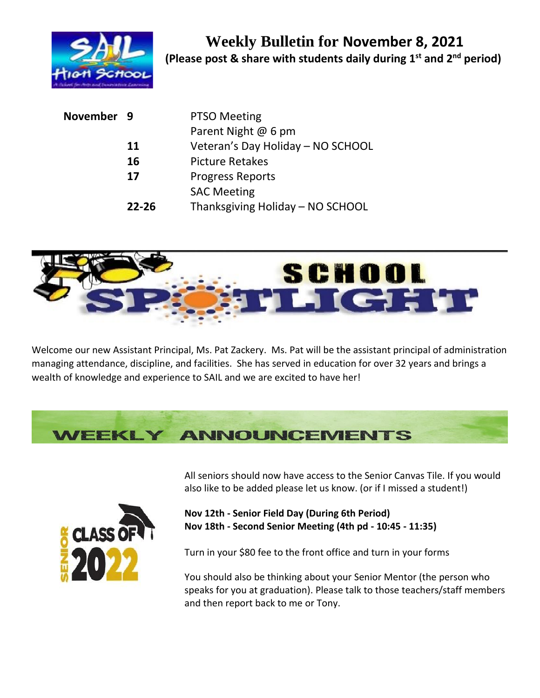

| November 9 |           | <b>PTSO Meeting</b>               |
|------------|-----------|-----------------------------------|
|            |           | Parent Night @ 6 pm               |
|            | 11        | Veteran's Day Holiday - NO SCHOOL |
|            | 16        | <b>Picture Retakes</b>            |
|            | 17        | <b>Progress Reports</b>           |
|            |           | <b>SAC Meeting</b>                |
|            | $22 - 26$ | Thanksgiving Holiday - NO SCHOOL  |



Welcome our new Assistant Principal, Ms. Pat Zackery. Ms. Pat will be the assistant principal of administration managing attendance, discipline, and facilities. She has served in education for over 32 years and brings a wealth of knowledge and experience to SAIL and we are excited to have her!





All seniors should now have access to the Senior Canvas Tile. If you would also like to be added please let us know. (or if I missed a student!)

**Nov 12th - Senior Field Day (During 6th Period) Nov 18th - Second Senior Meeting (4th pd - 10:45 - 11:35)**

Turn in your \$80 fee to the front office and turn in your forms

You should also be thinking about your Senior Mentor (the person who speaks for you at graduation). Please talk to those teachers/staff members and then report back to me or Tony.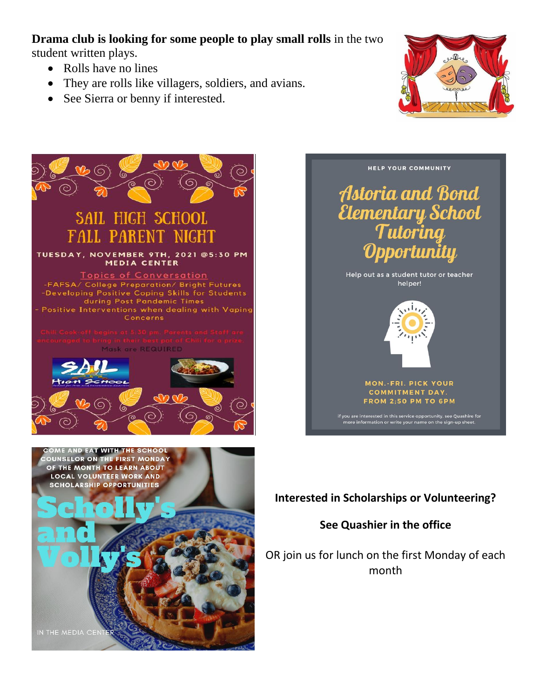**Drama club is looking for some people to play small rolls** in the two student written plays.

- Rolls have no lines
- They are rolls like villagers, soldiers, and avians.
- See Sierra or benny if interested.









## **Interested in Scholarships or Volunteering?**

## **See Quashier in the office**

OR join us for lunch on the first Monday of each month